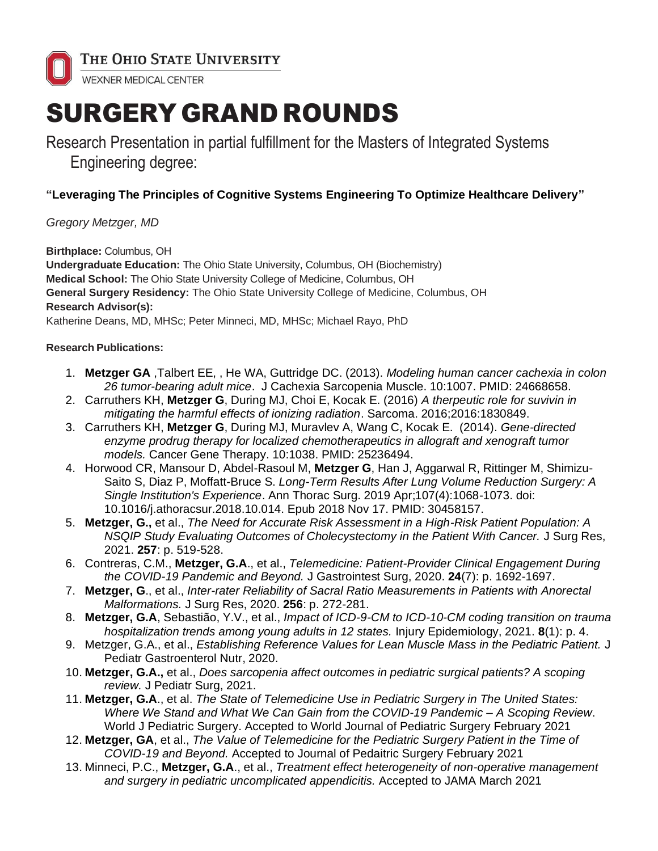

# SURGERY GRAND ROUNDS

Research Presentation in partial fulfillment for the Masters of Integrated Systems Engineering degree:

## **"Leveraging The Principles of Cognitive Systems Engineering To Optimize Healthcare Delivery"**

## *Gregory Metzger, MD*

**Birthplace:** Columbus, OH

**Undergraduate Education:** The Ohio State University, Columbus, OH (Biochemistry) **Medical School:** The Ohio State University College of Medicine, Columbus, OH **General Surgery Residency:** The Ohio State University College of Medicine, Columbus, OH **Research Advisor(s):** Katherine Deans, MD, MHSc; Peter Minneci, MD, MHSc; Michael Rayo, PhD

### **Research Publications:**

- 1. **Metzger GA** ,Talbert EE, , He WA, Guttridge DC. (2013). *Modeling human cancer cachexia in colon 26 tumor-bearing adult mice*. J Cachexia Sarcopenia Muscle. 10:1007. PMID: 24668658.
- 2. Carruthers KH, **Metzger G**, During MJ, Choi E, Kocak E. (2016) *A therpeutic role for suvivin in mitigating the harmful effects of ionizing radiation*. Sarcoma. 2016;2016:1830849.
- 3. Carruthers KH, **Metzger G**, During MJ, Muravlev A, Wang C, Kocak E. (2014). *Gene-directed enzyme prodrug therapy for localized chemotherapeutics in allograft and xenograft tumor models.* Cancer Gene Therapy. 10:1038. PMID: 25236494.
- 4. Horwood CR, Mansour D, Abdel-Rasoul M, **Metzger G**, Han J, Aggarwal R, Rittinger M, Shimizu-Saito S, Diaz P, Moffatt-Bruce S. *Long-Term Results After Lung Volume Reduction Surgery: A Single Institution's Experience*. Ann Thorac Surg. 2019 Apr;107(4):1068-1073. doi: 10.1016/j.athoracsur.2018.10.014. Epub 2018 Nov 17. PMID: 30458157.
- 5. **Metzger, G.,** et al., *The Need for Accurate Risk Assessment in a High-Risk Patient Population: A NSQIP Study Evaluating Outcomes of Cholecystectomy in the Patient With Cancer.* J Surg Res, 2021. **257**: p. 519-528.
- 6. Contreras, C.M., **Metzger, G.A**., et al., *Telemedicine: Patient-Provider Clinical Engagement During the COVID-19 Pandemic and Beyond.* J Gastrointest Surg, 2020. **24**(7): p. 1692-1697.
- 7. **Metzger, G**., et al., *Inter-rater Reliability of Sacral Ratio Measurements in Patients with Anorectal Malformations.* J Surg Res, 2020. **256**: p. 272-281.
- 8. **Metzger, G.A**, Sebastião, Y.V., et al., *Impact of ICD-9-CM to ICD-10-CM coding transition on trauma hospitalization trends among young adults in 12 states.* Injury Epidemiology, 2021. **8**(1): p. 4.
- 9. Metzger, G.A., et al., *Establishing Reference Values for Lean Muscle Mass in the Pediatric Patient.* J Pediatr Gastroenterol Nutr, 2020.
- 10. **Metzger, G.A.,** et al., *Does sarcopenia affect outcomes in pediatric surgical patients? A scoping review.* J Pediatr Surg, 2021.
- 11. **Metzger, G.A**., et al. *The State of Telemedicine Use in Pediatric Surgery in The United States: Where We Stand and What We Can Gain from the COVID-19 Pandemic – A Scoping Review*. World J Pediatric Surgery. Accepted to World Journal of Pediatric Surgery February 2021
- 12. **Metzger, GA**, et al., *The Value of Telemedicine for the Pediatric Surgery Patient in the Time of COVID-19 and Beyond.* Accepted to Journal of Pedaitric Surgery February 2021
- 13. Minneci, P.C., **Metzger, G.A**., et al., *Treatment effect heterogeneity of non-operative management and surgery in pediatric uncomplicated appendicitis.* Accepted to JAMA March 2021